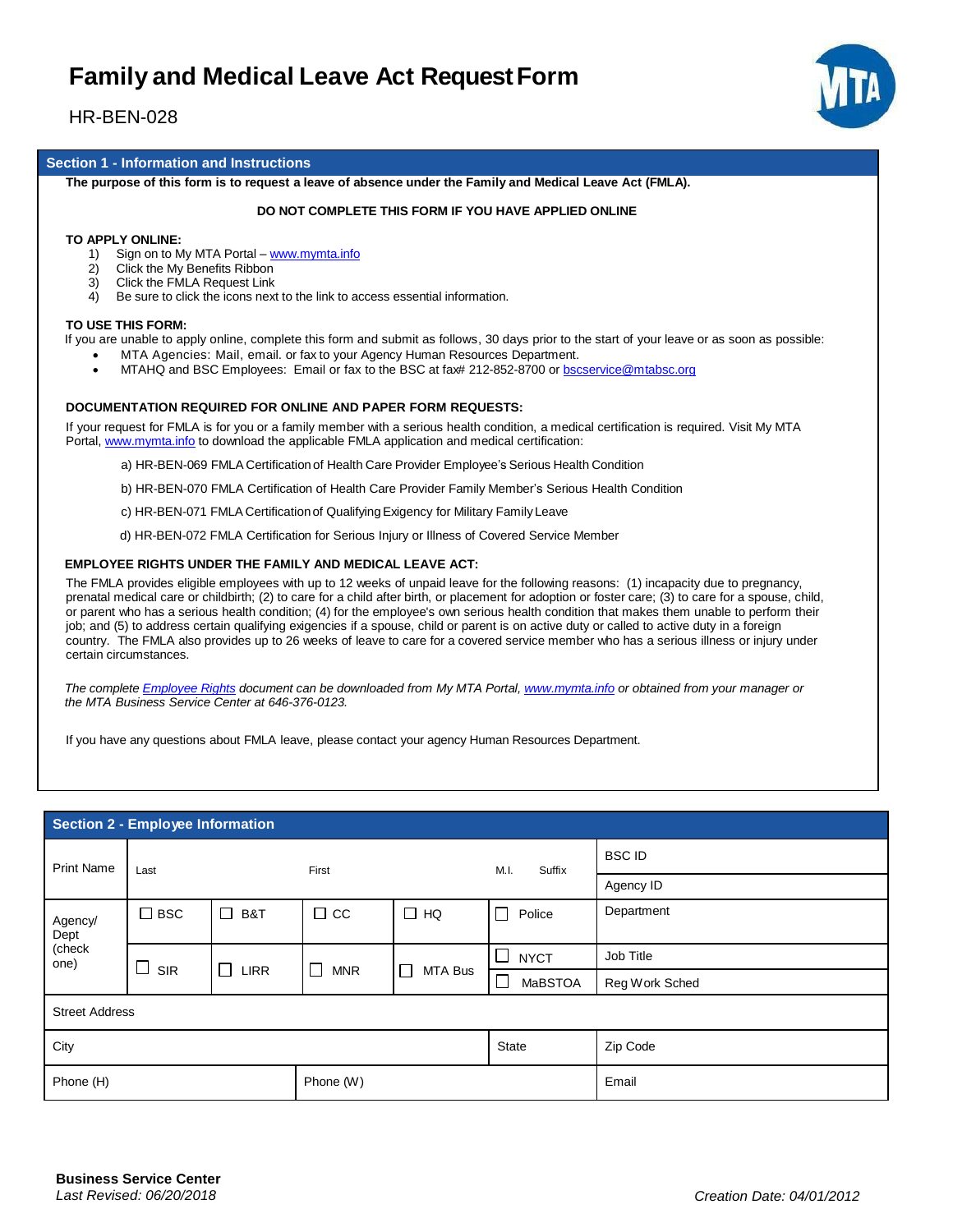## **Family and Medical Leave Act RequestForm**

## HR-BEN-028



#### **Section 1 - Information and Instructions**

The purpose of this form is to request a leave of absence under the Family and Medical Leave Act (FMLA).

#### **DO NOT COMPLETE THIS FORM IF YOU HAVE APPLIED ONLINE**

#### **TO APPLY ONLINE:**

- 1) Sign on to My MTA Portal www.mymta.info
- 2) Click the My Benefits Ribbon
- 3) Click the FMLA Request Link
- 4) Be sure to click the icons next to the link to access essential information.

#### **TO USE THIS FORM:**

If you are unable to apply online, complete this form and submit as follows, 30 days prior to the start of your leave or as soon as possible:

- MTA Agencies: Mail, email. or fax to your Agency Human Resources Department.
- MTAHQ and BSC Employees: Email or fax to the BSC at fax# 212-852-8700 or bscservice@mtabsc.org

#### **DOCUMENTATION REQUIRED FOR ONLINE AND PAPER FORM REQUESTS:**

If your request for FMLA is for you or a family member with a serious health condition, a medical certification is required. Visit My MTA Portal, www.mymta.info to download the applicable FMLA application and medical certification:

- a) HR-BEN-069 FMLA Certification of Health Care Provider Employee's Serious Health Condition
- b) HR-BEN-070 FMLA Certification of Health Care Provider Family Member's Serious Health Condition
- c) HR-BEN-071 FMLA Certificationof QualifyingExigency for Military Family Leave
- d) HR-BEN-072 FMLA Certification for Serious Injury or Illness of Covered Service Member

#### **EMPLOYEE RIGHTS UNDER THE FAMILY AND MEDICAL LEAVE ACT:**

The FMLA provides eligible employees with up to 12 weeks of unpaid leave for the following reasons: (1) incapacity due to pregnancy, prenatal medical care or childbirth; (2) to care for a child after birth, or placement for adoption or foster care; (3) to care for a spouse, child, or parent who has a serious health condition; (4) for the employee's own serious health condition that makes them unable to perform their job; and (5) to address certain qualifying exigencies if a spouse, child or parent is on active duty or called to active duty in a foreign country. The FMLA also provides up to 26 weeks of leave to care for a covered service member who has a serious illness or injury under certain circumstances.

*The complete Employee Rights document can be downloaded from My MTA Portal, www.mymta.info or obtained from your manager or the MTA Business Service Center at 646-376-0123.*

If you have any questions about FMLA leave, please contact your agency Human Resources Department.

#### **Section 2 - Employee Information**

| <b>Print Name</b>                 | Last          |                       | First           |                   | M.I.<br>Suffix           | <b>BSCID</b>   |
|-----------------------------------|---------------|-----------------------|-----------------|-------------------|--------------------------|----------------|
|                                   |               |                       |                 |                   |                          | Agency ID      |
| Agency/<br>Dept<br>(check<br>one) | $\square$ BSC | □<br>B&T              | $\Box$ CC       | $\Box$ HQ         | $\Box$<br>Police         | Department     |
|                                   |               |                       |                 |                   |                          |                |
|                                   | SIR           | $\Box$<br><b>LIRR</b> | <b>MNR</b><br>ப | $\Box$<br>MTA Bus | <b>NYCT</b><br>$\sim$    | Job Title      |
|                                   |               |                       |                 |                   | <b>MaBSTOA</b><br>$\sim$ | Reg Work Sched |
| <b>Street Address</b>             |               |                       |                 |                   |                          |                |
| City                              |               |                       |                 | State             | Zip Code                 |                |
| Phone (H)                         |               |                       | Phone (W)       |                   |                          | Email          |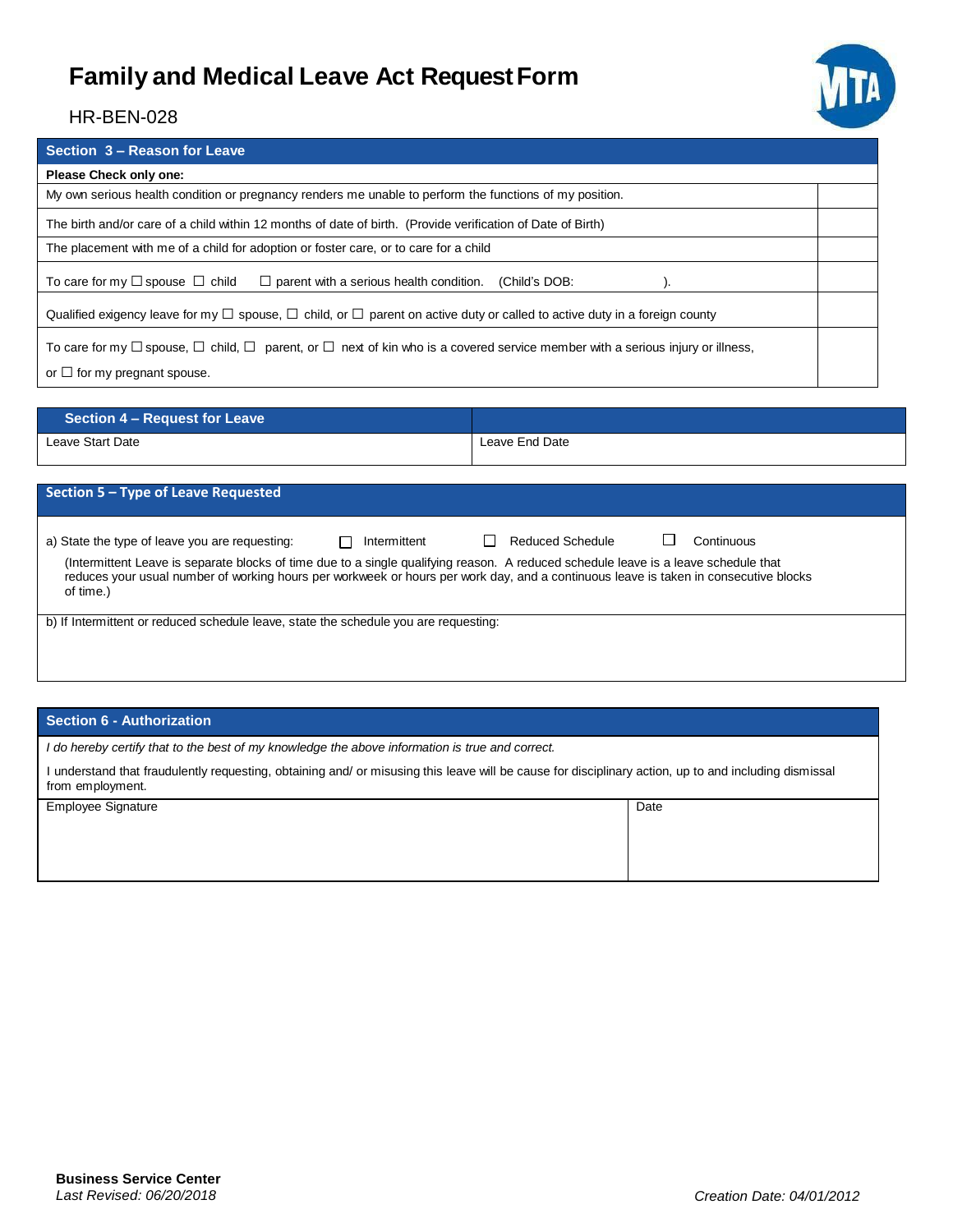## **Family and Medical Leave Act RequestForm**



### HR-BEN-028

| Section 3 - Reason for Leave                                                                                                                       |  |  |
|----------------------------------------------------------------------------------------------------------------------------------------------------|--|--|
| Please Check only one:                                                                                                                             |  |  |
| My own serious health condition or pregnancy renders me unable to perform the functions of my position.                                            |  |  |
| The birth and/or care of a child within 12 months of date of birth. (Provide verification of Date of Birth)                                        |  |  |
| The placement with me of a child for adoption or foster care, or to care for a child                                                               |  |  |
| To care for my $\Box$ spouse $\Box$ child<br>$\Box$ parent with a serious health condition.<br>(Child's DOB:                                       |  |  |
| Qualified exigency leave for my $\Box$ spouse, $\Box$ child, or $\Box$ parent on active duty or called to active duty in a foreign county          |  |  |
| To care for my $\Box$ spouse, $\Box$ child, $\Box$ parent, or $\Box$ next of kin who is a covered service member with a serious injury or illness, |  |  |
| or $\Box$ for my pregnant spouse.                                                                                                                  |  |  |

| <b>Section 4 – Request for Leave</b> |                |
|--------------------------------------|----------------|
| Leave Start Date                     | Leave End Date |

| Section 5 – Type of Leave Requested                                                                                                                                                                                                                                                                                                        |              |                            |            |
|--------------------------------------------------------------------------------------------------------------------------------------------------------------------------------------------------------------------------------------------------------------------------------------------------------------------------------------------|--------------|----------------------------|------------|
| a) State the type of leave you are requesting:<br>(Intermittent Leave is separate blocks of time due to a single qualifying reason. A reduced schedule leave is a leave schedule that<br>reduces your usual number of working hours per workweek or hours per work day, and a continuous leave is taken in consecutive blocks<br>of time.) | Intermittent | Reduced Schedule<br>$\Box$ | Continuous |
| b) If Intermittent or reduced schedule leave, state the schedule you are requesting:                                                                                                                                                                                                                                                       |              |                            |            |

### **Section 6 - Authorization**

*I do hereby certify that to the best of my knowledge the above information is true and correct.*

I understand that fraudulently requesting, obtaining and/ or misusing this leave will be cause for disciplinary action, up to and including dismissal from employment.

| <b>Employee Signature</b> | Date |
|---------------------------|------|
|                           |      |
|                           |      |
|                           |      |